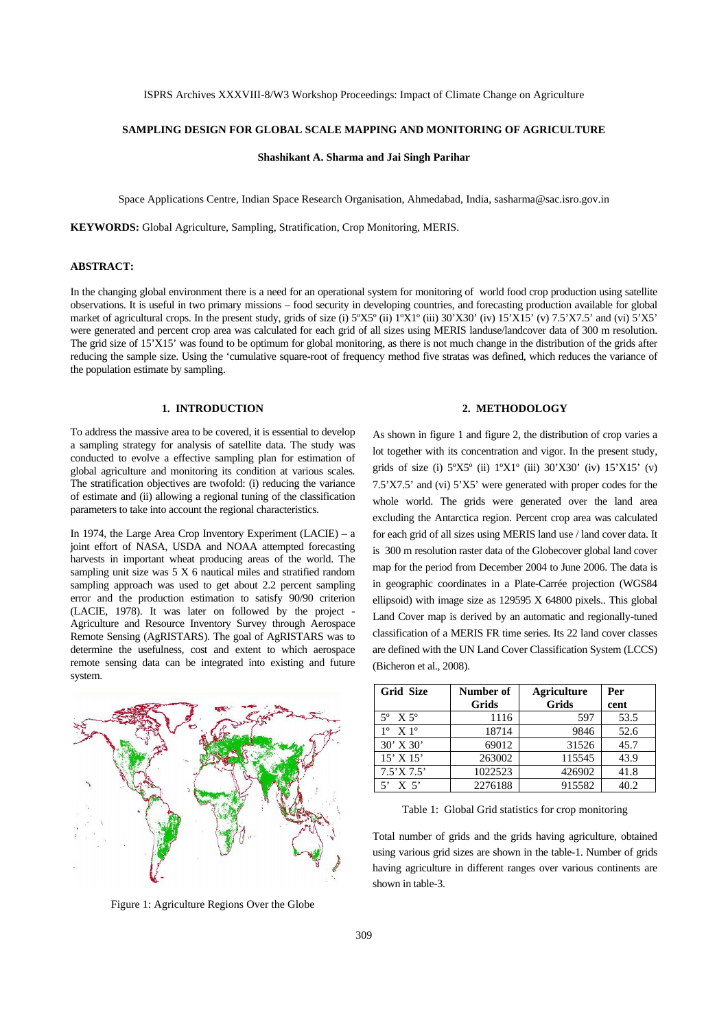ISPRS Archives XXXVIII-8/W3 Workshop Proceedings: Impact of Climate Change on Agriculture

#### **SAMPLING DESIGN FOR GLOBAL SCALE MAPPING AND MONITORING OF AGRICULTURE**

**Shashikant A. Sharma and Jai Singh Parihar** 

Space Applications Centre, Indian Space Research Organisation, Ahmedabad, India, sasharma@sac.isro.gov.in

**KEYWORDS:** Global Agriculture, Sampling, Stratification, Crop Monitoring, MERIS.

## **ABSTRACT:**

In the changing global environment there is a need for an operational system for monitoring of world food crop production using satellite observations. It is useful in two primary missions – food security in developing countries, and forecasting production available for global market of agricultural crops. In the present study, grids of size (i) 5°X5° (ii) 1°X1° (iii) 30'X30' (iv) 15'X15' (v) 7.5'X7.5' and (vi) 5'X5' were generated and percent crop area was calculated for each grid of all sizes using MERIS landuse/landcover data of 300 m resolution. The grid size of 15'X15' was found to be optimum for global monitoring, as there is not much change in the distribution of the grids after reducing the sample size. Using the 'cumulative square-root of frequency method five stratas was defined, which reduces the variance of the population estimate by sampling.

## **1. INTRODUCTION**

To address the massive area to be covered, it is essential to develop a sampling strategy for analysis of satellite data. The study was conducted to evolve a effective sampling plan for estimation of global agriculture and monitoring its condition at various scales. The stratification objectives are twofold: (i) reducing the variance of estimate and (ii) allowing a regional tuning of the classification parameters to take into account the regional characteristics.

In 1974, the Large Area Crop Inventory Experiment (LACIE) – a joint effort of NASA, USDA and NOAA attempted forecasting harvests in important wheat producing areas of the world. The sampling unit size was 5 X 6 nautical miles and stratified random sampling approach was used to get about 2.2 percent sampling error and the production estimation to satisfy 90/90 criterion (LACIE, 1978). It was later on followed by the project - Agriculture and Resource Inventory Survey through Aerospace Remote Sensing (AgRISTARS). The goal of AgRISTARS was to determine the usefulness, cost and extent to which aerospace remote sensing data can be integrated into existing and future system.



Figure 1: Agriculture Regions Over the Globe

#### **2. METHODOLOGY**

As shown in figure 1 and figure 2, the distribution of crop varies a lot together with its concentration and vigor. In the present study, grids of size (i)  $5^{\circ}X5^{\circ}$  (ii)  $1^{\circ}X1^{\circ}$  (iii)  $30^{\circ}X30^{\circ}$  (iv)  $15^{\circ}X15^{\circ}$  (v) 7.5'X7.5' and (vi) 5'X5' were generated with proper codes for the whole world. The grids were generated over the land area excluding the Antarctica region. Percent crop area was calculated for each grid of all sizes using MERIS land use / land cover data. It is 300 m resolution raster data of the Globecover global land cover map for the period from December 2004 to June 2006. The data is in geographic coordinates in a Plate-Carrée projection (WGS84 ellipsoid) with image size as 129595 X 64800 pixels.. This global Land Cover map is derived by an automatic and regionally-tuned classification of a MERIS FR time series. Its 22 land cover classes are defined with the UN Land Cover Classification System (LCCS) (Bicheron et al., 2008).

| <b>Grid Size</b>          | Number of | <b>Agriculture</b> | Per  |  |
|---------------------------|-----------|--------------------|------|--|
|                           | Grids     | <b>Grids</b>       | cent |  |
| $5^{\circ}$ X $5^{\circ}$ | 1116      | 597                | 53.5 |  |
| $1^{\circ}$ X $1^{\circ}$ | 18714     | 9846               | 52.6 |  |
| $30'$ X $30'$             | 69012     | 31526              | 45.7 |  |
| $15'$ X $15'$             | 263002    | 115545             | 43.9 |  |
| 7.5'X7.5'                 | 1022523   | 426902             | 41.8 |  |
| X <sub>5</sub>            | 2276188   | 915582             | 40.2 |  |

Table 1: Global Grid statistics for crop monitoring

Total number of grids and the grids having agriculture, obtained using various grid sizes are shown in the table-1. Number of grids having agriculture in different ranges over various continents are shown in table-3.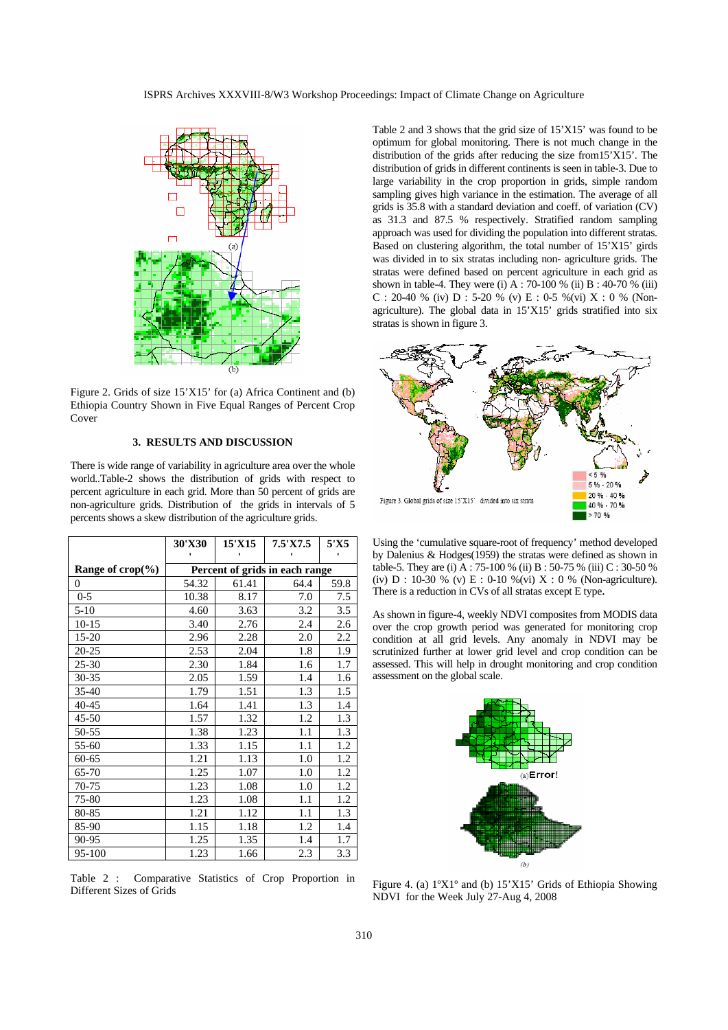ISPRS Archives XXXVIII-8/W3 Workshop Proceedings: Impact of Climate Change on Agriculture



Figure 2. Grids of size 15'X15' for (a) Africa Continent and (b) Ethiopia Country Shown in Five Equal Ranges of Percent Crop Cover

## **3. RESULTS AND DISCUSSION**

There is wide range of variability in agriculture area over the whole world..Table-2 shows the distribution of grids with respect to percent agriculture in each grid. More than 50 percent of grids are non-agriculture grids. Distribution of the grids in intervals of 5 percents shows a skew distribution of the agriculture grids.

|                            | 30'X30                         | 15'X15 | 7.5'X7.5 | 5'X5 |  |  |
|----------------------------|--------------------------------|--------|----------|------|--|--|
|                            |                                |        |          |      |  |  |
| Range of $\text{crop}(\%)$ | Percent of grids in each range |        |          |      |  |  |
| 0                          | 54.32                          | 61.41  | 64.4     | 59.8 |  |  |
| $0 - 5$                    | 10.38                          | 8.17   | 7.0      | 7.5  |  |  |
| $5 - 10$                   | 4.60                           | 3.63   | 3.2      | 3.5  |  |  |
| $10 - 15$                  | 3.40                           | 2.76   | 2.4      | 2.6  |  |  |
| 15-20                      | 2.96                           | 2.28   | 2.0      | 2.2  |  |  |
| 20-25                      | 2.53                           | 2.04   | 1.8      | 1.9  |  |  |
| $25 - 30$                  | 2.30                           | 1.84   | 1.6      | 1.7  |  |  |
| $30 - 35$                  | 2.05                           | 1.59   | 1.4      | 1.6  |  |  |
| $35 - 40$                  | 1.79                           | 1.51   | 1.3      | 1.5  |  |  |
| 40-45                      | 1.64                           | 1.41   | 1.3      | 1.4  |  |  |
| $45 - 50$                  | 1.57                           | 1.32   | 1.2      | 1.3  |  |  |
| 50-55                      | 1.38                           | 1.23   | 1.1      | 1.3  |  |  |
| 55-60                      | 1.33                           | 1.15   | 1.1      | 1.2  |  |  |
| $60 - 65$                  | 1.21                           | 1.13   | 1.0      | 1.2  |  |  |
| 65-70                      | 1.25                           | 1.07   | 1.0      | 1.2  |  |  |
| 70-75                      | 1.23                           | 1.08   | 1.0      | 1.2  |  |  |
| 75-80                      | 1.23                           | 1.08   | 1.1      | 1.2  |  |  |
| 80-85                      | 1.21                           | 1.12   | 1.1      | 1.3  |  |  |
| 85-90                      | 1.15                           | 1.18   | 1.2      | 1.4  |  |  |
| 90-95                      | 1.25                           | 1.35   | 1.4      | 1.7  |  |  |
| 95-100                     | 1.23                           | 1.66   | 2.3      | 3.3  |  |  |

Table 2 : Comparative Statistics of Crop Proportion in Different Sizes of Grids

Table 2 and 3 shows that the grid size of 15'X15' was found to be optimum for global monitoring. There is not much change in the distribution of the grids after reducing the size from15'X15'. The distribution of grids in different continents is seen in table-3. Due to large variability in the crop proportion in grids, simple random sampling gives high variance in the estimation. The average of all grids is 35.8 with a standard deviation and coeff. of variation (CV) as 31.3 and 87.5 % respectively. Stratified random sampling approach was used for dividing the population into different stratas. Based on clustering algorithm, the total number of 15'X15' girds was divided in to six stratas including non- agriculture grids. The stratas were defined based on percent agriculture in each grid as shown in table-4. They were (i) A : 70-100 % (ii) B : 40-70 % (iii) C : 20-40 % (iv) D : 5-20 % (v) E : 0-5 % (vi) X : 0 % (Nonagriculture). The global data in 15'X15' grids stratified into six stratas is shown in figure 3.



Using the 'cumulative square-root of frequency' method developed by Dalenius & Hodges(1959) the stratas were defined as shown in table-5. They are (i) A : 75-100 % (ii) B : 50-75 % (iii) C : 30-50 % (iv) D : 10-30 % (v) E : 0-10 % (vi) X : 0 % (Non-agriculture). There is a reduction in CVs of all stratas except E type.

As shown in figure-4, weekly NDVI composites from MODIS data over the crop growth period was generated for monitoring crop condition at all grid levels. Any anomaly in NDVI may be scrutinized further at lower grid level and crop condition can be assessed. This will help in drought monitoring and crop condition assessment on the global scale.



Figure 4. (a) 1ºX1º and (b) 15'X15' Grids of Ethiopia Showing NDVI for the Week July 27-Aug 4, 2008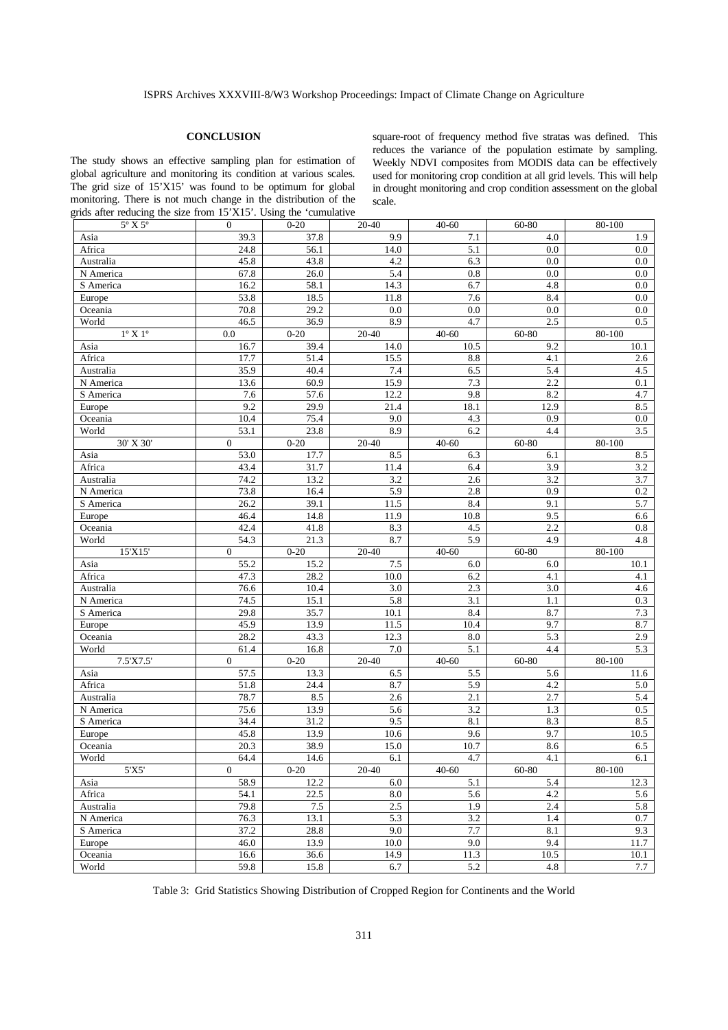#### **CONCLUSION**

The study shows an effective sampling plan for estimation of global agriculture and monitoring its condition at various scales. The grid size of 15'X15' was found to be optimum for global monitoring. There is not much change in the distribution of the grids after reducing the size from 15'X15'. Using the 'cumulative

square-root of frequency method five stratas was defined. This reduces the variance of the population estimate by sampling. Weekly NDVI composites from MODIS data can be effectively used for monitoring crop condition at all grid levels. This will help in drought monitoring and crop condition assessment on the global scale.

| grids and reducing the size from 19 $XY$ . Using the cumulative<br>$5^{\circ}$ X $5^{\circ}$ |                          |              |             |             |             |             |
|----------------------------------------------------------------------------------------------|--------------------------|--------------|-------------|-------------|-------------|-------------|
|                                                                                              | $\Omega$                 | $0 - 20$     | 20-40       | $40 - 60$   | 60-80       | 80-100      |
| Asia                                                                                         | 39.3                     | 37.8         | 9.9         | 7.1         | 4.0         | 1.9         |
| Africa                                                                                       | 24.8                     | 56.1         | 14.0        | 5.1         | 0.0         | $0.0\,$     |
| Australia                                                                                    | 45.8                     | 43.8         | 4.2         | 6.3         | 0.0         | $0.0\,$     |
| N America                                                                                    | 67.8                     | 26.0         | 5.4         | 0.8         | 0.0         | $0.0\,$     |
| S America                                                                                    | 16.2                     | 58.1         | 14.3        | 6.7         | 4.8         | 0.0         |
| Europe                                                                                       | 53.8                     | 18.5         | 11.8        | 7.6         | 8.4         | $0.0\,$     |
| Oceania                                                                                      | 70.8                     | 29.2         | 0.0         | 0.0         | 0.0         | 0.0         |
| World                                                                                        | 46.5                     | 36.9         | 8.9         | 4.7         | 2.5         | 0.5         |
| $1^{\circ}$ X $1^{\circ}$                                                                    | 0.0                      | $0 - 20$     | 20-40       | $40 - 60$   | 60-80       | 80-100      |
| Asia                                                                                         | 16.7                     | 39.4         | 14.0        | 10.5        | 9.2         | 10.1        |
| Africa                                                                                       | 17.7                     | 51.4         | 15.5        | 8.8         | 4.1         | 2.6         |
| Australia                                                                                    | 35.9                     | 40.4         | 7.4         | 6.5         | 5.4         | 4.5         |
| N America                                                                                    | 13.6                     | 60.9         | 15.9        | 7.3         | 2.2         | 0.1         |
|                                                                                              | 7.6                      | 57.6         | 12.2        | 9.8         | 8.2         | 4.7         |
| S America                                                                                    |                          |              |             |             |             |             |
| Europe                                                                                       | 9.2                      | 29.9         | 21.4        | 18.1        | 12.9        | 8.5         |
| Oceania                                                                                      | 10.4                     | 75.4         | 9.0         | 4.3         | 0.9         | $0.0\,$     |
| World                                                                                        | 53.1                     | 23.8         | 8.9         | 6.2         | 4.4         | 3.5         |
| 30' X 30'                                                                                    | $\overline{0}$           | $0 - 20$     | 20-40       | $40 - 60$   | 60-80       | 80-100      |
| Asia                                                                                         | 53.0                     | 17.7         | 8.5         | 6.3         | 6.1         | 8.5         |
| Africa                                                                                       | 43.4                     | 31.7         | 11.4        | 6.4         | 3.9         | $3.2\,$     |
| Australia                                                                                    | 74.2                     | 13.2         | 3.2         | 2.6         | 3.2         | 3.7         |
| N America                                                                                    | 73.8                     | 16.4         | 5.9         | 2.8         | 0.9         | $0.2\,$     |
| S America                                                                                    | 26.2                     | 39.1         | 11.5        | 8.4         | 9.1         | 5.7         |
| Europe                                                                                       | 46.4                     | 14.8         | 11.9        | 10.8        | 9.5         | 6.6         |
| Oceania                                                                                      | 42.4                     | 41.8         | 8.3         | 4.5         | 2.2         | 0.8         |
| World                                                                                        | 54.3                     | 21.3         | 8.7         | 5.9         | 4.9         | 4.8         |
|                                                                                              |                          |              |             |             |             |             |
|                                                                                              |                          |              |             |             |             |             |
| 15'X15'                                                                                      | $\overline{0}$           | $0 - 20$     | 20-40       | $40 - 60$   | 60-80       | 80-100      |
| Asia                                                                                         | 55.2                     | 15.2         | $7.5\,$     | 6.0         | 6.0         | 10.1        |
| Africa                                                                                       | 47.3                     | 28.2         | 10.0        | 6.2         | 4.1         | 4.1         |
| Australia                                                                                    | 76.6                     | 10.4         | $3.0\,$     | 2.3         | 3.0         | 4.6         |
| N America                                                                                    | 74.5                     | 15.1         | 5.8         | 3.1         | 1.1         | 0.3         |
| S America                                                                                    | 29.8                     | 35.7         | 10.1        | 8.4         | 8.7         | 7.3         |
| Europe                                                                                       | 45.9                     | 13.9         | 11.5        | 10.4        | 9.7         | 8.7         |
| Oceania                                                                                      | 28.2                     | 43.3         | 12.3        | 8.0         | 5.3         | 2.9         |
| World                                                                                        | 61.4                     | 16.8         | 7.0         | 5.1         | 4.4         | 5.3         |
| 7.5'X7.5'                                                                                    | $\Omega$                 | $0 - 20$     | 20-40       | $40 - 60$   | 60-80       | 80-100      |
| Asia                                                                                         | 57.5                     | 13.3         | 6.5         | 5.5         | 5.6         | 11.6        |
| Africa                                                                                       | 51.8                     | 24.4         | 8.7         | 5.9         | 4.2         | 5.0         |
| Australia                                                                                    | 78.7                     | 8.5          | 2.6         | 2.1         | 2.7         | 5.4         |
| N America                                                                                    | 75.6                     | 13.9         | 5.6         | 3.2         | 1.3         | $0.5\,$     |
| S America                                                                                    | 34.4                     | 31.2         | 9.5         | 8.1         | 8.3         | 8.5         |
| Europe                                                                                       | 45.8                     | 13.9         | 10.6        | 9.6         | 9.7         | 10.5        |
| Oceania                                                                                      | 20.3                     |              | 15.0        | 10.7        | 8.6         |             |
|                                                                                              |                          | 38.9<br>14.6 | 6.1         | 4.7         | 4.1         | 6.5<br>6.1  |
| World<br>5'X5'                                                                               | 64.4<br>$\boldsymbol{0}$ | $0 - 20$     | 20-40       | $40 - 60$   | 60-80       | 80-100      |
|                                                                                              |                          |              |             |             |             |             |
| Asia                                                                                         | 58.9                     | 12.2         | 6.0         | 5.1         | 5.4         | 12.3        |
| Africa                                                                                       | 54.1                     | 22.5         | 8.0         | 5.6         | 4.2         | 5.6         |
| Australia                                                                                    | 79.8                     | 7.5          | $2.5\,$     | 1.9         | 2.4         | 5.8         |
| N America                                                                                    | 76.3                     | 13.1         | 5.3         | 3.2         | 1.4         | 0.7         |
| S America                                                                                    | 37.2                     | 28.8         | 9.0         | 7.7         | 8.1         | 9.3         |
| Europe                                                                                       | 46.0                     | 13.9         | 10.0        | 9.0         | 9.4         | 11.7        |
| Oceania<br>World                                                                             | 16.6<br>59.8             | 36.6<br>15.8 | 14.9<br>6.7 | 11.3<br>5.2 | 10.5<br>4.8 | 10.1<br>7.7 |

Table 3: Grid Statistics Showing Distribution of Cropped Region for Continents and the World